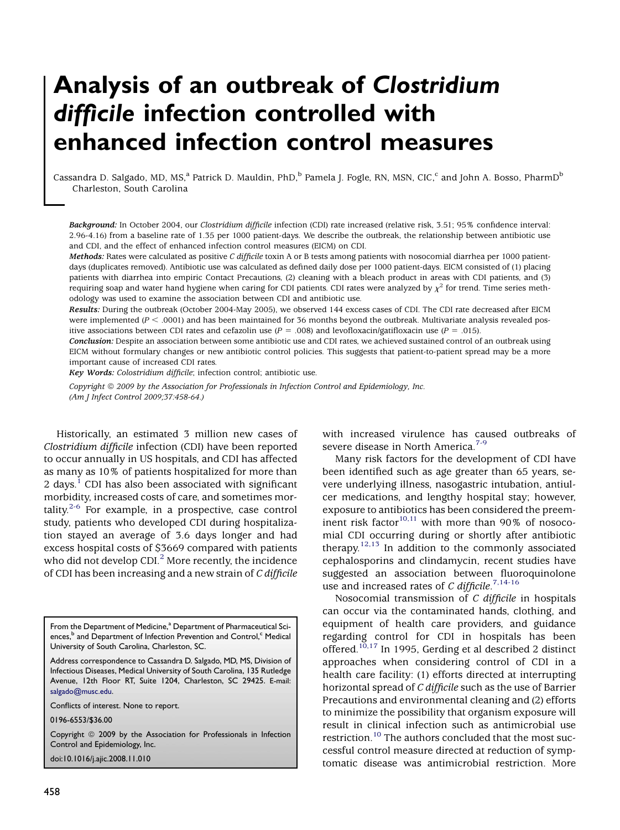# Analysis of an outbreak of Clostridium difficile infection controlled with enhanced infection control measures

Cassandra D. Salgado, MD, MS,<sup>a</sup> Patrick D. Mauldin, PhD,<sup>b</sup> Pamela J. Fogle, RN, MSN, CIC,<sup>c</sup> and John A. Bosso, PharmD<sup>b</sup> Charleston, South Carolina

Background: In October 2004, our Clostridium difficile infection (CDI) rate increased (relative risk, 3.51; 95% confidence interval: 2.96-4.16) from a baseline rate of 1.35 per 1000 patient-days. We describe the outbreak, the relationship between antibiotic use and CDI, and the effect of enhanced infection control measures (EICM) on CDI.

Methods: Rates were calculated as positive C difficile toxin A or B tests among patients with nosocomial diarrhea per 1000 patientdays (duplicates removed). Antibiotic use was calculated as defined daily dose per 1000 patient-days. EICM consisted of (1) placing patients with diarrhea into empiric Contact Precautions, (2) cleaning with a bleach product in areas with CDI patients, and (3) requiring soap and water hand hygiene when caring for CDI patients. CDI rates were analyzed by  $\chi^2$  for trend. Time series methodology was used to examine the association between CDI and antibiotic use.

Results: During the outbreak (October 2004-May 2005), we observed 144 excess cases of CDI. The CDI rate decreased after EICM were implemented ( $P < .0001$ ) and has been maintained for 36 months beyond the outbreak. Multivariate analysis revealed positive associations between CDI rates and cefazolin use  $(P = .008)$  and levofloxacin/gatifloxacin use  $(P = .015)$ .

Conclusion: Despite an association between some antibiotic use and CDI rates, we achieved sustained control of an outbreak using EICM without formulary changes or new antibiotic control policies. This suggests that patient-to-patient spread may be a more important cause of increased CDI rates.

Key Words: Colostridium difficile; infection control; antibiotic use.

Copyright ª 2009 by the Association for Professionals in Infection Control and Epidemiology, Inc. (Am J Infect Control 2009;37:458-64.)

Historically, an estimated 3 million new cases of Clostridium difficile infection (CDI) have been reported to occur annually in US hospitals, and CDI has affected as many as 10% of patients hospitalized for more than 2 days.<sup>[1](#page-5-0)</sup> CDI has also been associated with significant morbidity, increased costs of care, and sometimes mortality. $2-6$  For example, in a prospective, case control study, patients who developed CDI during hospitalization stayed an average of 3.6 days longer and had excess hospital costs of \$3669 compared with patients who did not develop CDI.<sup>[2](#page-5-0)</sup> More recently, the incidence of CDI has been increasing and a new strain of C difficile

From the Department of Medicine,<sup>a</sup> Department of Pharmaceutical Sciences,<sup>b</sup> and Department of Infection Prevention and Control,<sup>c</sup> Medical University of South Carolina, Charleston, SC.

Conflicts of interest. None to report.

0196-6553/\$36.00

Copyright @ 2009 by the Association for Professionals in Infection Control and Epidemiology, Inc.

doi:10.1016/j.ajic.2008.11.010

with increased virulence has caused outbreaks of severe disease in North America.<sup>[7-9](#page-5-0)</sup>

Many risk factors for the development of CDI have been identified such as age greater than 65 years, severe underlying illness, nasogastric intubation, antiulcer medications, and lengthy hospital stay; however, exposure to antibiotics has been considered the preeminent risk factor $10,11$  with more than 90% of nosocomial CDI occurring during or shortly after antibiotic therapy. $12,13$  In addition to the commonly associated cephalosporins and clindamycin, recent studies have suggested an association between fluoroquinolone use and increased rates of C difficile.<sup>[7,14-16](#page-5-0)</sup>

Nosocomial transmission of C difficile in hospitals can occur via the contaminated hands, clothing, and equipment of health care providers, and guidance regarding control for CDI in hospitals has been offered.<sup>10,17</sup> In 1995, Gerding et al described 2 distinct approaches when considering control of CDI in a health care facility: (1) efforts directed at interrupting horizontal spread of C difficile such as the use of Barrier Precautions and environmental cleaning and (2) efforts to minimize the possibility that organism exposure will result in clinical infection such as antimicrobial use restriction.[10](#page-5-0) The authors concluded that the most successful control measure directed at reduction of symptomatic disease was antimicrobial restriction. More

Address correspondence to Cassandra D. Salgado, MD, MS, Division of Infectious Diseases, Medical University of South Carolina, 135 Rutledge Avenue, 12th Floor RT, Suite 1204, Charleston, SC 29425. E-mail: [salgado@musc.edu.](mailto:salgado@musc.edu)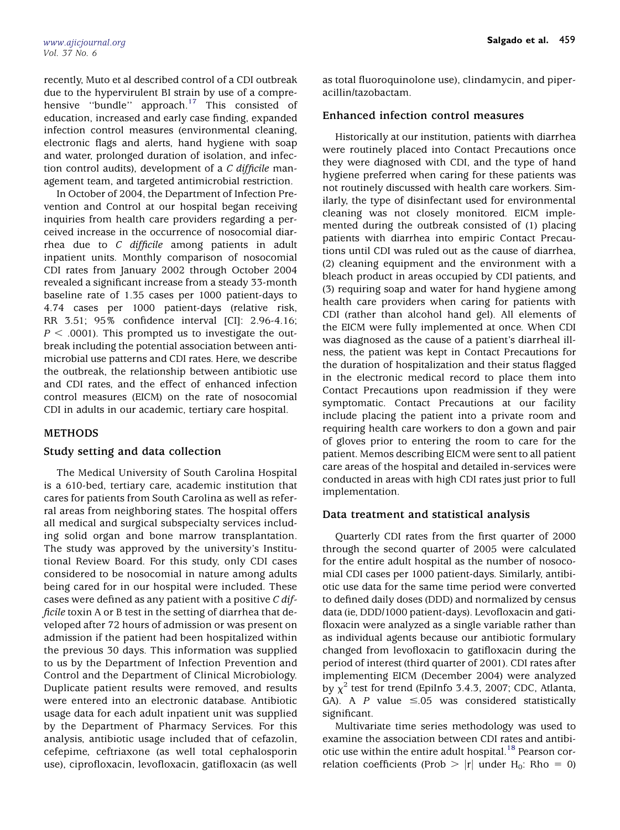recently, Muto et al described control of a CDI outbreak due to the hypervirulent BI strain by use of a compre-hensive "bundle" approach.<sup>[17](#page-6-0)</sup> This consisted of education, increased and early case finding, expanded infection control measures (environmental cleaning, electronic flags and alerts, hand hygiene with soap and water, prolonged duration of isolation, and infection control audits), development of a C difficile management team, and targeted antimicrobial restriction.

In October of 2004, the Department of Infection Prevention and Control at our hospital began receiving inquiries from health care providers regarding a perceived increase in the occurrence of nosocomial diarrhea due to C difficile among patients in adult inpatient units. Monthly comparison of nosocomial CDI rates from January 2002 through October 2004 revealed a significant increase from a steady 33-month baseline rate of 1.35 cases per 1000 patient-days to 4.74 cases per 1000 patient-days (relative risk, RR 3.51; 95% confidence interval [CI]: 2.96-4.16;  $P < .0001$ ). This prompted us to investigate the outbreak including the potential association between antimicrobial use patterns and CDI rates. Here, we describe the outbreak, the relationship between antibiotic use and CDI rates, and the effect of enhanced infection control measures (EICM) on the rate of nosocomial CDI in adults in our academic, tertiary care hospital.

#### METHODS

#### Study setting and data collection

The Medical University of South Carolina Hospital is a 610-bed, tertiary care, academic institution that cares for patients from South Carolina as well as referral areas from neighboring states. The hospital offers all medical and surgical subspecialty services including solid organ and bone marrow transplantation. The study was approved by the university's Institutional Review Board. For this study, only CDI cases considered to be nosocomial in nature among adults being cared for in our hospital were included. These cases were defined as any patient with a positive C difficile toxin A or B test in the setting of diarrhea that developed after 72 hours of admission or was present on admission if the patient had been hospitalized within the previous 30 days. This information was supplied to us by the Department of Infection Prevention and Control and the Department of Clinical Microbiology. Duplicate patient results were removed, and results were entered into an electronic database. Antibiotic usage data for each adult inpatient unit was supplied by the Department of Pharmacy Services. For this analysis, antibiotic usage included that of cefazolin, cefepime, ceftriaxone (as well total cephalosporin use), ciprofloxacin, levofloxacin, gatifloxacin (as well

as total fluoroquinolone use), clindamycin, and piperacillin/tazobactam.

### Enhanced infection control measures

Historically at our institution, patients with diarrhea were routinely placed into Contact Precautions once they were diagnosed with CDI, and the type of hand hygiene preferred when caring for these patients was not routinely discussed with health care workers. Similarly, the type of disinfectant used for environmental cleaning was not closely monitored. EICM implemented during the outbreak consisted of (1) placing patients with diarrhea into empiric Contact Precautions until CDI was ruled out as the cause of diarrhea, (2) cleaning equipment and the environment with a bleach product in areas occupied by CDI patients, and (3) requiring soap and water for hand hygiene among health care providers when caring for patients with CDI (rather than alcohol hand gel). All elements of the EICM were fully implemented at once. When CDI was diagnosed as the cause of a patient's diarrheal illness, the patient was kept in Contact Precautions for the duration of hospitalization and their status flagged in the electronic medical record to place them into Contact Precautions upon readmission if they were symptomatic. Contact Precautions at our facility include placing the patient into a private room and requiring health care workers to don a gown and pair of gloves prior to entering the room to care for the patient. Memos describing EICM were sent to all patient care areas of the hospital and detailed in-services were conducted in areas with high CDI rates just prior to full implementation.

# Data treatment and statistical analysis

Quarterly CDI rates from the first quarter of 2000 through the second quarter of 2005 were calculated for the entire adult hospital as the number of nosocomial CDI cases per 1000 patient-days. Similarly, antibiotic use data for the same time period were converted to defined daily doses (DDD) and normalized by census data (ie, DDD/1000 patient-days). Levofloxacin and gatifloxacin were analyzed as a single variable rather than as individual agents because our antibiotic formulary changed from levofloxacin to gatifloxacin during the period of interest (third quarter of 2001). CDI rates after implementing EICM (December 2004) were analyzed by  $\chi^2$  test for trend (EpiInfo 3.4.3, 2007; CDC, Atlanta, GA). A P value  $\leq 0.05$  was considered statistically significant.

Multivariate time series methodology was used to examine the association between CDI rates and antibi-otic use within the entire adult hospital.<sup>[18](#page-6-0)</sup> Pearson correlation coefficients (Prob  $>$  |r| under H<sub>0</sub>: Rho = 0)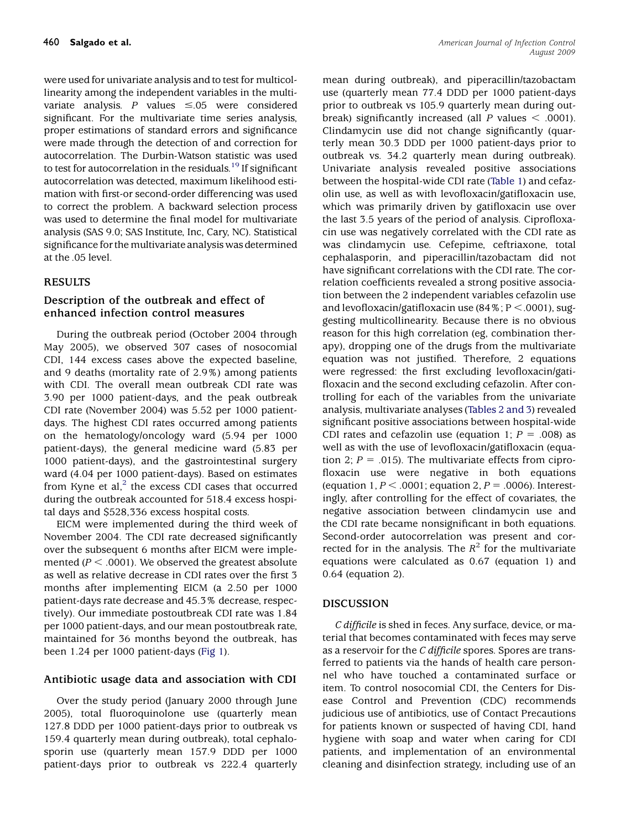were used for univariate analysis and to test for multicollinearity among the independent variables in the multivariate analysis. P values  $\leq 0.05$  were considered significant. For the multivariate time series analysis, proper estimations of standard errors and significance were made through the detection of and correction for autocorrelation. The Durbin-Watson statistic was used to test for autocorrelation in the residuals.<sup>[19](#page-6-0)</sup> If significant autocorrelation was detected, maximum likelihood estimation with first-or second-order differencing was used to correct the problem. A backward selection process was used to determine the final model for multivariate analysis (SAS 9.0; SAS Institute, Inc, Cary, NC). Statistical significance for the multivariate analysis was determined at the .05 level.

# RESULTS

# Description of the outbreak and effect of enhanced infection control measures

During the outbreak period (October 2004 through May 2005), we observed 307 cases of nosocomial CDI, 144 excess cases above the expected baseline, and 9 deaths (mortality rate of 2.9%) among patients with CDI. The overall mean outbreak CDI rate was 3.90 per 1000 patient-days, and the peak outbreak CDI rate (November 2004) was 5.52 per 1000 patientdays. The highest CDI rates occurred among patients on the hematology/oncology ward (5.94 per 1000 patient-days), the general medicine ward (5.83 per 1000 patient-days), and the gastrointestinal surgery ward (4.04 per 1000 patient-days). Based on estimates from Kyne et al, $<sup>2</sup>$  $<sup>2</sup>$  $<sup>2</sup>$  the excess CDI cases that occurred</sup> during the outbreak accounted for 518.4 excess hospital days and \$528,336 excess hospital costs.

EICM were implemented during the third week of November 2004. The CDI rate decreased significantly over the subsequent 6 months after EICM were implemented ( $P < .0001$ ). We observed the greatest absolute as well as relative decrease in CDI rates over the first 3 months after implementing EICM (a 2.50 per 1000 patient-days rate decrease and 45.3% decrease, respectively). Our immediate postoutbreak CDI rate was 1.84 per 1000 patient-days, and our mean postoutbreak rate, maintained for 36 months beyond the outbreak, has been 1.24 per 1000 patient-days ([Fig 1\)](#page-3-0).

#### Antibiotic usage data and association with CDI

Over the study period (January 2000 through June 2005), total fluoroquinolone use (quarterly mean 127.8 DDD per 1000 patient-days prior to outbreak vs 159.4 quarterly mean during outbreak), total cephalosporin use (quarterly mean 157.9 DDD per 1000 patient-days prior to outbreak vs 222.4 quarterly mean during outbreak), and piperacillin/tazobactam use (quarterly mean 77.4 DDD per 1000 patient-days prior to outbreak vs 105.9 quarterly mean during outbreak) significantly increased (all  $P$  values < .0001). Clindamycin use did not change significantly (quarterly mean 30.3 DDD per 1000 patient-days prior to outbreak vs. 34.2 quarterly mean during outbreak). Univariate analysis revealed positive associations between the hospital-wide CDI rate ([Table 1\)](#page-3-0) and cefazolin use, as well as with levofloxacin/gatifloxacin use, which was primarily driven by gatifloxacin use over the last 3.5 years of the period of analysis. Ciprofloxacin use was negatively correlated with the CDI rate as was clindamycin use. Cefepime, ceftriaxone, total cephalasporin, and piperacillin/tazobactam did not have significant correlations with the CDI rate. The correlation coefficients revealed a strong positive association between the 2 independent variables cefazolin use and levofloxacin/gatifloxacin use  $(84\%; P < .0001)$ , suggesting multicollinearity. Because there is no obvious reason for this high correlation (eg, combination therapy), dropping one of the drugs from the multivariate equation was not justified. Therefore, 2 equations were regressed: the first excluding levofloxacin/gatifloxacin and the second excluding cefazolin. After controlling for each of the variables from the univariate analysis, multivariate analyses [\(Tables 2 and 3\)](#page-4-0) revealed significant positive associations between hospital-wide CDI rates and cefazolin use (equation 1;  $P = .008$ ) as well as with the use of levofloxacin/gatifloxacin (equation 2;  $P = .015$ ). The multivariate effects from ciprofloxacin use were negative in both equations (equation 1,  $P < .0001$ ; equation 2,  $P = .0006$ ). Interestingly, after controlling for the effect of covariates, the negative association between clindamycin use and the CDI rate became nonsignificant in both equations. Second-order autocorrelation was present and corrected for in the analysis. The  $R^2$  for the multivariate equations were calculated as 0.67 (equation 1) and 0.64 (equation 2).

# DISCUSSION

C difficile is shed in feces. Any surface, device, or material that becomes contaminated with feces may serve as a reservoir for the C difficile spores. Spores are transferred to patients via the hands of health care personnel who have touched a contaminated surface or item. To control nosocomial CDI, the Centers for Disease Control and Prevention (CDC) recommends judicious use of antibiotics, use of Contact Precautions for patients known or suspected of having CDI, hand hygiene with soap and water when caring for CDI patients, and implementation of an environmental cleaning and disinfection strategy, including use of an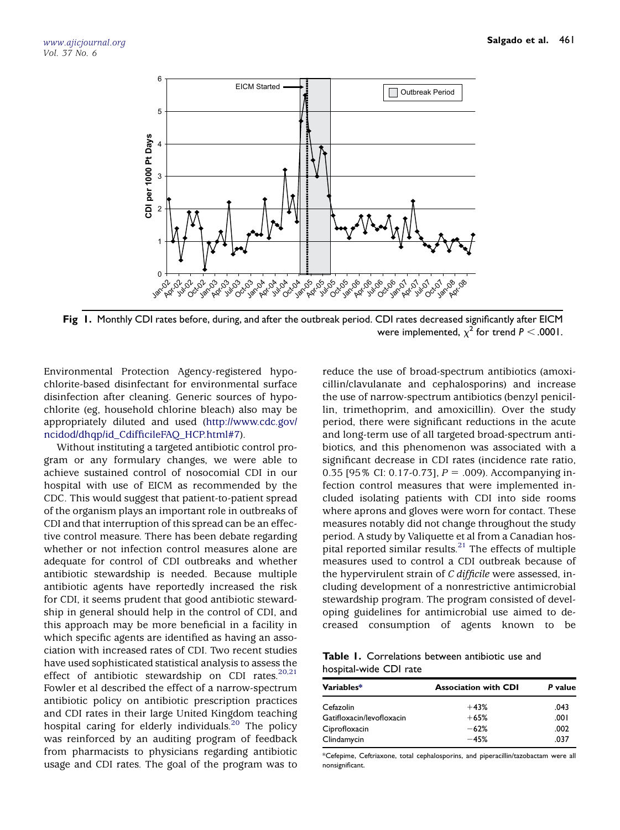<span id="page-3-0"></span>

Fig 1. Monthly CDI rates before, during, and after the outbreak period. CDI rates decreased significantly after EICM were implemented,  $\chi^2$  for trend P  $<$  .0001.

Environmental Protection Agency-registered hypochlorite-based disinfectant for environmental surface disinfection after cleaning. Generic sources of hypochlorite (eg, household chlorine bleach) also may be appropriately diluted and used [\(http://www.cdc.gov/](http://www.cdc.gov/ncidod/dhqp/id_CdifficileFAQ_HCP.html#7) [ncidod/dhqp/id\\_CdifficileFAQ\\_HCP.html#7](http://www.cdc.gov/ncidod/dhqp/id_CdifficileFAQ_HCP.html#7)).

Without instituting a targeted antibiotic control program or any formulary changes, we were able to achieve sustained control of nosocomial CDI in our hospital with use of EICM as recommended by the CDC. This would suggest that patient-to-patient spread of the organism plays an important role in outbreaks of CDI and that interruption of this spread can be an effective control measure. There has been debate regarding whether or not infection control measures alone are adequate for control of CDI outbreaks and whether antibiotic stewardship is needed. Because multiple antibiotic agents have reportedly increased the risk for CDI, it seems prudent that good antibiotic stewardship in general should help in the control of CDI, and this approach may be more beneficial in a facility in which specific agents are identified as having an association with increased rates of CDI. Two recent studies have used sophisticated statistical analysis to assess the effect of antibiotic stewardship on CDI rates. $20,21$ Fowler et al described the effect of a narrow-spectrum antibiotic policy on antibiotic prescription practices and CDI rates in their large United Kingdom teaching hospital caring for elderly individuals.<sup>[20](#page-6-0)</sup> The policy was reinforced by an auditing program of feedback from pharmacists to physicians regarding antibiotic usage and CDI rates. The goal of the program was to

reduce the use of broad-spectrum antibiotics (amoxicillin/clavulanate and cephalosporins) and increase the use of narrow-spectrum antibiotics (benzyl penicillin, trimethoprim, and amoxicillin). Over the study period, there were significant reductions in the acute and long-term use of all targeted broad-spectrum antibiotics, and this phenomenon was associated with a significant decrease in CDI rates (incidence rate ratio, 0.35 [95% CI: 0.17-0.73],  $P = .009$ ). Accompanying infection control measures that were implemented included isolating patients with CDI into side rooms where aprons and gloves were worn for contact. These measures notably did not change throughout the study period. A study by Valiquette et al from a Canadian hospital reported similar results. $21$  The effects of multiple measures used to control a CDI outbreak because of the hypervirulent strain of C difficile were assessed, including development of a nonrestrictive antimicrobial stewardship program. The program consisted of developing guidelines for antimicrobial use aimed to decreased consumption of agents known to be

Table 1. Correlations between antibiotic use and hospital-wide CDI rate

| Variables*                | <b>Association with CDI</b> | P value |
|---------------------------|-----------------------------|---------|
| Cefazolin                 | $+43%$                      | .043    |
| Gatifloxacin/levofloxacin | $+65%$                      | .001    |
| Ciprofloxacin             | $-62%$                      | .002    |
| Clindamycin               | $-45%$                      | .037    |

\*Cefepime, Ceftriaxone, total cephalosporins, and piperacillin/tazobactam were all nonsignificant.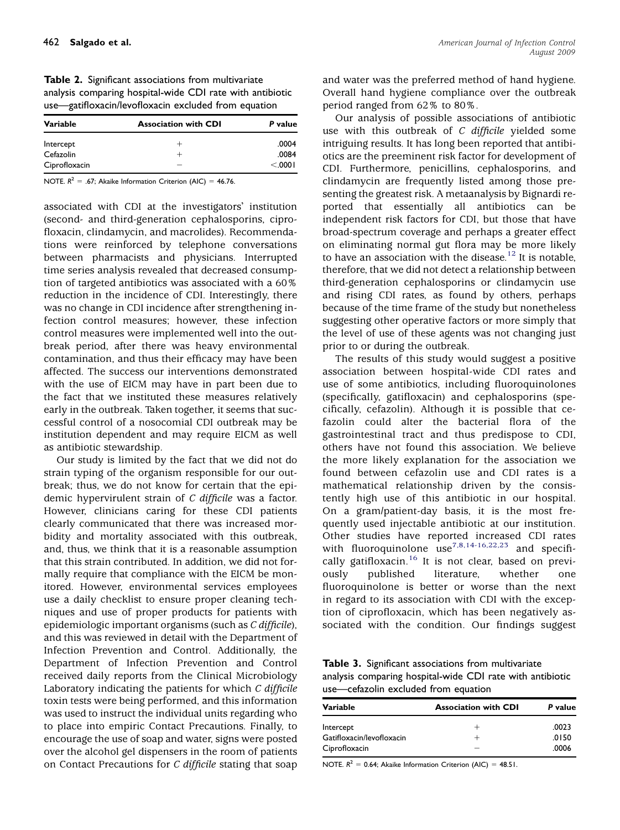<span id="page-4-0"></span>

| Table 2. Significant associations from multivariate       |
|-----------------------------------------------------------|
| analysis comparing hospital-wide CDI rate with antibiotic |
| use—gatifloxacin/levofloxacin excluded from equation      |

| Variable      | <b>Association with CDI</b> | P value |  |
|---------------|-----------------------------|---------|--|
| Intercept     |                             | .0004   |  |
| Cefazolin     | $^+$                        | .0084   |  |
| Ciprofloxacin | -                           | < 0.001 |  |

NOTE.  $R^2 = .67$ ; Akaike Information Criterion (AIC) = 46.76.

associated with CDI at the investigators' institution (second- and third-generation cephalosporins, ciprofloxacin, clindamycin, and macrolides). Recommendations were reinforced by telephone conversations between pharmacists and physicians. Interrupted time series analysis revealed that decreased consumption of targeted antibiotics was associated with a 60% reduction in the incidence of CDI. Interestingly, there was no change in CDI incidence after strengthening infection control measures; however, these infection control measures were implemented well into the outbreak period, after there was heavy environmental contamination, and thus their efficacy may have been affected. The success our interventions demonstrated with the use of EICM may have in part been due to the fact that we instituted these measures relatively early in the outbreak. Taken together, it seems that successful control of a nosocomial CDI outbreak may be institution dependent and may require EICM as well as antibiotic stewardship.

Our study is limited by the fact that we did not do strain typing of the organism responsible for our outbreak; thus, we do not know for certain that the epidemic hypervirulent strain of C difficile was a factor. However, clinicians caring for these CDI patients clearly communicated that there was increased morbidity and mortality associated with this outbreak, and, thus, we think that it is a reasonable assumption that this strain contributed. In addition, we did not formally require that compliance with the EICM be monitored. However, environmental services employees use a daily checklist to ensure proper cleaning techniques and use of proper products for patients with epidemiologic important organisms (such as C difficile), and this was reviewed in detail with the Department of Infection Prevention and Control. Additionally, the Department of Infection Prevention and Control received daily reports from the Clinical Microbiology Laboratory indicating the patients for which C difficile toxin tests were being performed, and this information was used to instruct the individual units regarding who to place into empiric Contact Precautions. Finally, to encourage the use of soap and water, signs were posted over the alcohol gel dispensers in the room of patients on Contact Precautions for C difficile stating that soap and water was the preferred method of hand hygiene. Overall hand hygiene compliance over the outbreak period ranged from 62% to 80%.

Our analysis of possible associations of antibiotic use with this outbreak of  $C$  difficile yielded some intriguing results. It has long been reported that antibiotics are the preeminent risk factor for development of CDI. Furthermore, penicillins, cephalosporins, and clindamycin are frequently listed among those presenting the greatest risk. A metaanalysis by Bignardi reported that essentially all antibiotics can be independent risk factors for CDI, but those that have broad-spectrum coverage and perhaps a greater effect on eliminating normal gut flora may be more likely to have an association with the disease.<sup>[12](#page-5-0)</sup> It is notable, therefore, that we did not detect a relationship between third-generation cephalosporins or clindamycin use and rising CDI rates, as found by others, perhaps because of the time frame of the study but nonetheless suggesting other operative factors or more simply that the level of use of these agents was not changing just prior to or during the outbreak.

The results of this study would suggest a positive association between hospital-wide CDI rates and use of some antibiotics, including fluoroquinolones (specifically, gatifloxacin) and cephalosporins (specifically, cefazolin). Although it is possible that cefazolin could alter the bacterial flora of the gastrointestinal tract and thus predispose to CDI, others have not found this association. We believe the more likely explanation for the association we found between cefazolin use and CDI rates is a mathematical relationship driven by the consistently high use of this antibiotic in our hospital. On a gram/patient-day basis, it is the most frequently used injectable antibiotic at our institution. Other studies have reported increased CDI rates with fluoroquinolone use<sup>[7,8,14-16,22,23](#page-5-0)</sup> and specifi-cally gatifloxacin.<sup>[16](#page-5-0)</sup> It is not clear, based on previously published literature, whether one fluoroquinolone is better or worse than the next in regard to its association with CDI with the exception of ciprofloxacin, which has been negatively associated with the condition. Our findings suggest

Table 3. Significant associations from multivariate analysis comparing hospital-wide CDI rate with antibiotic use—cefazolin excluded from equation

| Variable                  | <b>Association with CDI</b> | P value |
|---------------------------|-----------------------------|---------|
| Intercept                 |                             | .0023   |
| Gatifloxacin/levofloxacin |                             | .0150   |
| Ciprofloxacin             |                             | .0006   |

NOTE.  $R^2 = 0.64$ ; Akaike Information Criterion (AIC) = 48.51.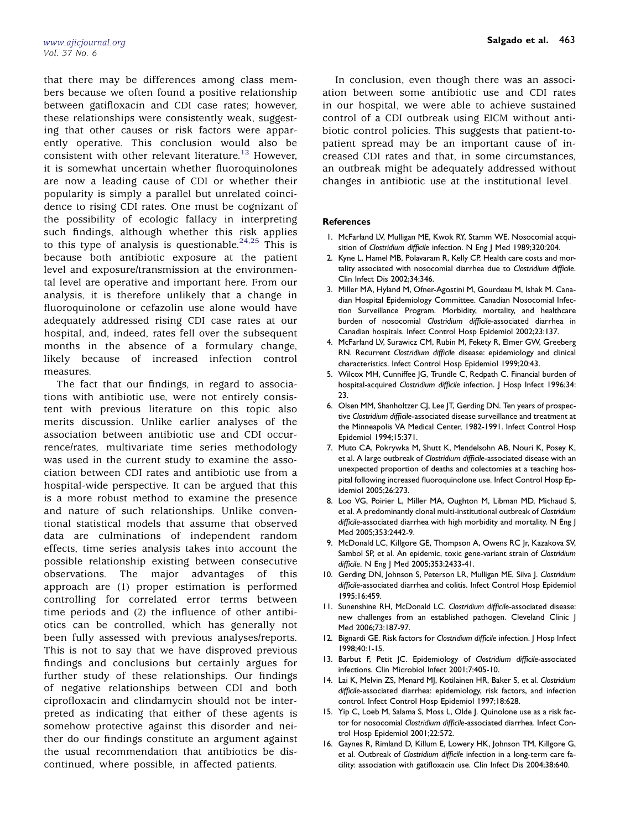<span id="page-5-0"></span>that there may be differences among class members because we often found a positive relationship between gatifloxacin and CDI case rates; however, these relationships were consistently weak, suggesting that other causes or risk factors were apparently operative. This conclusion would also be consistent with other relevant literature.<sup>12</sup> However, it is somewhat uncertain whether fluoroquinolones are now a leading cause of CDI or whether their popularity is simply a parallel but unrelated coincidence to rising CDI rates. One must be cognizant of the possibility of ecologic fallacy in interpreting such findings, although whether this risk applies to this type of analysis is questionable.<sup>[24,25](#page-6-0)</sup> This is because both antibiotic exposure at the patient level and exposure/transmission at the environmental level are operative and important here. From our analysis, it is therefore unlikely that a change in fluoroquinolone or cefazolin use alone would have adequately addressed rising CDI case rates at our hospital, and, indeed, rates fell over the subsequent months in the absence of a formulary change, likely because of increased infection control measures.

The fact that our findings, in regard to associations with antibiotic use, were not entirely consistent with previous literature on this topic also merits discussion. Unlike earlier analyses of the association between antibiotic use and CDI occurrence/rates, multivariate time series methodology was used in the current study to examine the association between CDI rates and antibiotic use from a hospital-wide perspective. It can be argued that this is a more robust method to examine the presence and nature of such relationships. Unlike conventional statistical models that assume that observed data are culminations of independent random effects, time series analysis takes into account the possible relationship existing between consecutive observations. The major advantages of this approach are (1) proper estimation is performed controlling for correlated error terms between time periods and (2) the influence of other antibiotics can be controlled, which has generally not been fully assessed with previous analyses/reports. This is not to say that we have disproved previous findings and conclusions but certainly argues for further study of these relationships. Our findings of negative relationships between CDI and both ciprofloxacin and clindamycin should not be interpreted as indicating that either of these agents is somehow protective against this disorder and neither do our findings constitute an argument against the usual recommendation that antibiotics be discontinued, where possible, in affected patients.

In conclusion, even though there was an association between some antibiotic use and CDI rates in our hospital, we were able to achieve sustained control of a CDI outbreak using EICM without antibiotic control policies. This suggests that patient-topatient spread may be an important cause of increased CDI rates and that, in some circumstances, an outbreak might be adequately addressed without changes in antibiotic use at the institutional level.

#### **References**

- 1. McFarland LV, Mulligan ME, Kwok RY, Stamm WE. Nosocomial acquisition of Clostridium difficile infection. N Eng J Med 1989;320:204.
- 2. Kyne L, Hamel MB, Polavaram R, Kelly CP. Health care costs and mortality associated with nosocomial diarrhea due to Clostridium difficile. Clin Infect Dis 2002;34:346.
- 3. Miller MA, Hyland M, Ofner-Agostini M, Gourdeau M, Ishak M. Canadian Hospital Epidemiology Committee. Canadian Nosocomial Infection Surveillance Program. Morbidity, mortality, and healthcare burden of nosocomial Clostridium difficile-associated diarrhea in Canadian hospitals. Infect Control Hosp Epidemiol 2002;23:137.
- 4. McFarland LV, Surawicz CM, Rubin M, Fekety R, Elmer GW, Greeberg RN. Recurrent Clostridium difficile disease: epidemiology and clinical characteristics. Infect Control Hosp Epidemiol 1999;20:43.
- 5. Wilcox MH, Cunniffee JG, Trundle C, Redpath C. Financial burden of hospital-acquired Clostridium difficile infection. | Hosp Infect 1996;34: 23.
- 6. Olsen MM, Shanholtzer CJ, Lee JT, Gerding DN. Ten years of prospective Clostridium difficile-associated disease surveillance and treatment at the Minneapolis VA Medical Center, 1982-1991. Infect Control Hosp Epidemiol 1994;15:371.
- 7. Muto CA, Pokrywka M, Shutt K, Mendelsohn AB, Nouri K, Posey K, et al. A large outbreak of Clostridium difficile-associated disease with an unexpected proportion of deaths and colectomies at a teaching hospital following increased fluoroquinolone use. Infect Control Hosp Epidemiol 2005;26:273.
- 8. Loo VG, Poirier L, Miller MA, Oughton M, Libman MD, Michaud S, et al. A predominantly clonal multi-institutional outbreak of Clostridium difficile-associated diarrhea with high morbidity and mortality. N Eng J Med 2005;353:2442-9.
- 9. McDonald LC, Killgore GE, Thompson A, Owens RC Jr, Kazakova SV, Sambol SP, et al. An epidemic, toxic gene-variant strain of Clostridium difficile. N Eng J Med 2005;353:2433-41.
- 10. Gerding DN, Johnson S, Peterson LR, Mulligan ME, Silva J. Clostridium difficile-associated diarrhea and colitis. Infect Control Hosp Epidemiol 1995;16:459.
- 11. Sunenshine RH, McDonald LC. Clostridium difficile-associated disease: new challenges from an established pathogen. Cleveland Clinic J Med 2006;73:187-97.
- 12. Bignardi GE. Risk factors for Clostridium difficile infection. J Hosp Infect 1998;40:1-15.
- 13. Barbut F, Petit JC. Epidemiology of Clostridium difficile-associated infections. Clin Microbiol Infect 2001;7:405-10.
- 14. Lai K, Melvin ZS, Menard MJ, Kotilainen HR, Baker S, et al. Clostridium difficile-associated diarrhea: epidemiology, risk factors, and infection control. Infect Control Hosp Epidemiol 1997;18:628.
- 15. Yip C, Loeb M, Salama S, Moss L, Olde J. Quinolone use as a risk factor for nosocomial Clostridium difficile-associated diarrhea. Infect Control Hosp Epidemiol 2001;22:572.
- 16. Gaynes R, Rimland D, Killum E, Lowery HK, Johnson TM, Killgore G, et al. Outbreak of Clostridium difficile infection in a long-term care facility: association with gatifloxacin use. Clin Infect Dis 2004;38:640.